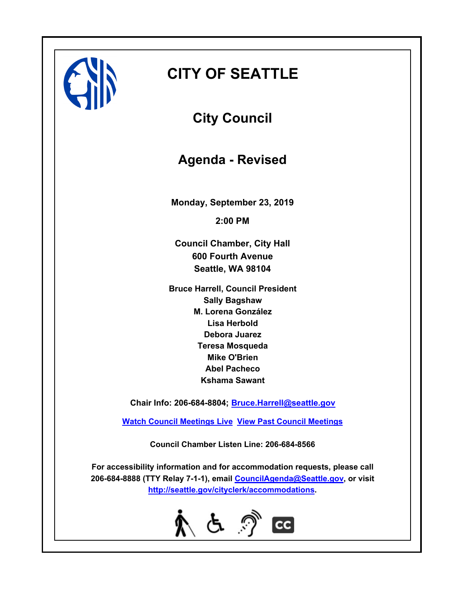# **CITY OF SEATTLE**

**City Council**

**Agenda - Revised**

**Monday, September 23, 2019 2:00 PM**

**Council Chamber, City Hall 600 Fourth Avenue Seattle, WA 98104**

**Bruce Harrell, Council President Sally Bagshaw M. Lorena González Lisa Herbold Debora Juarez Teresa Mosqueda Mike O'Brien Abel Pacheco Kshama Sawant**

**Chair Info: 206-684-8804; [Bruce.Harrell@seattle.gov](mailto:Bruce.Harrell@seattle.gov)**

**[Watch Council Meetings Live](http://www.seattle.gov/council/councillive.htm) [View Past Council Meetings](http://www.seattlechannel.org/videos/browseVideos.asp?topic=council)**

**Council Chamber Listen Line: 206-684-8566**

**For accessibility information and for accommodation requests, please call 206-684-8888 (TTY Relay 7-1-1), email [CouncilAgenda@Seattle.gov](mailto: Council.Agenda@Seattle.gov), or visit <http://seattle.gov/cityclerk/accommodations>.**

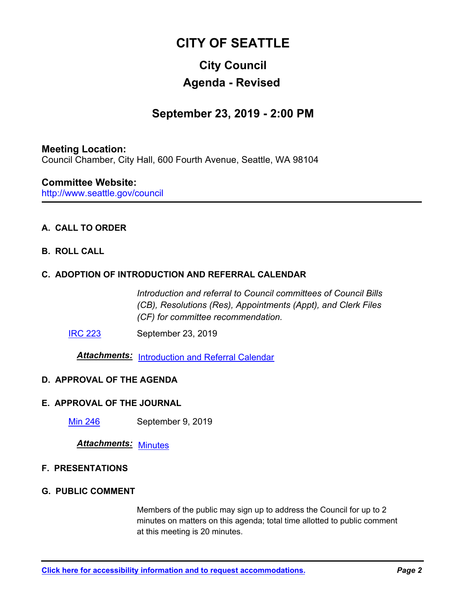## **CITY OF SEATTLE**

## **City Council Agenda - Revised**

## **September 23, 2019 - 2:00 PM**

## **Meeting Location:** Council Chamber, City Hall, 600 Fourth Avenue, Seattle, WA 98104

#### http://www.seattle.gov/council **Committee Website:**

## **A. CALL TO ORDER**

### **B. ROLL CALL**

### **C. ADOPTION OF INTRODUCTION AND REFERRAL CALENDAR**

*Introduction and referral to Council committees of Council Bills (CB), Resolutions (Res), Appointments (Appt), and Clerk Files (CF) for committee recommendation.*

**[IRC 223](http://seattle.legistar.com/gateway.aspx?m=l&id=/matter.aspx?key=9180)** September 23, 2019

*Attachments:* [Introduction and Referral Calendar](http://seattle.legistar.com/gateway.aspx?M=F&ID=fc7176c6-21cb-4b0a-952b-9bc9674cb3bc.pdf)

### **D. APPROVAL OF THE AGENDA**

#### **E. APPROVAL OF THE JOURNAL**

[Min 246](http://seattle.legistar.com/gateway.aspx?m=l&id=/matter.aspx?key=9193) September 9, 2019

*Attachments:* [Minutes](http://seattle.legistar.com/gateway.aspx?M=F&ID=3ee2254c-a9af-4f6d-8457-18df3854b5ef.pdf)

#### **F. PRESENTATIONS**

#### **G. PUBLIC COMMENT**

Members of the public may sign up to address the Council for up to 2 minutes on matters on this agenda; total time allotted to public comment at this meeting is 20 minutes.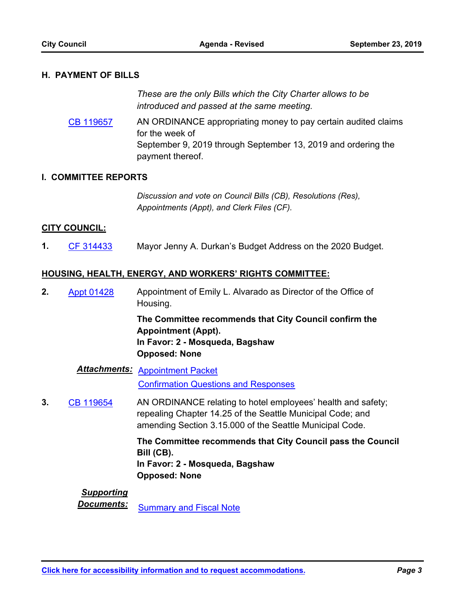#### **H. PAYMENT OF BILLS**

*These are the only Bills which the City Charter allows to be introduced and passed at the same meeting.*

AN ORDINANCE appropriating money to pay certain audited claims for the week of September 9, 2019 through September 13, 2019 and ordering the payment thereof. [CB 119657](http://seattle.legistar.com/gateway.aspx?m=l&id=/matter.aspx?key=9179)

#### **I. COMMITTEE REPORTS**

*Discussion and vote on Council Bills (CB), Resolutions (Res), Appointments (Appt), and Clerk Files (CF).*

#### **CITY COUNCIL:**

**1.** [CF 314433](http://seattle.legistar.com/gateway.aspx?m=l&id=/matter.aspx?key=9186) Mayor Jenny A. Durkan's Budget Address on the 2020 Budget.

#### **HOUSING, HEALTH, ENERGY, AND WORKERS' RIGHTS COMMITTEE:**

Appointment of Emily L. Alvarado as Director of the Office of Housing. **2.** [Appt 01428](http://seattle.legistar.com/gateway.aspx?m=l&id=/matter.aspx?key=9087)

> **The Committee recommends that City Council confirm the Appointment (Appt). In Favor: 2 - Mosqueda, Bagshaw Opposed: None**

*Attachments:* [Appointment Packet](http://seattle.legistar.com/gateway.aspx?M=F&ID=6dedb40c-aa16-4790-8936-388a8290baeb.pdf) [Confirmation Questions and Responses](http://seattle.legistar.com/gateway.aspx?M=F&ID=a4b4d589-a7b7-490e-b3ed-3b926ce96109.pdf)

AN ORDINANCE relating to hotel employees' health and safety; repealing Chapter 14.25 of the Seattle Municipal Code; and amending Section 3.15.000 of the Seattle Municipal Code. **3.** [CB 119654](http://seattle.legistar.com/gateway.aspx?m=l&id=/matter.aspx?key=9131)

> **The Committee recommends that City Council pass the Council Bill (CB). In Favor: 2 - Mosqueda, Bagshaw Opposed: None**

#### *Supporting*

**Documents:** [Summary and Fiscal Note](http://seattle.legistar.com/gateway.aspx?M=F&ID=ac01c754-a8b0-44eb-91f0-3e31b13aefb8.docx)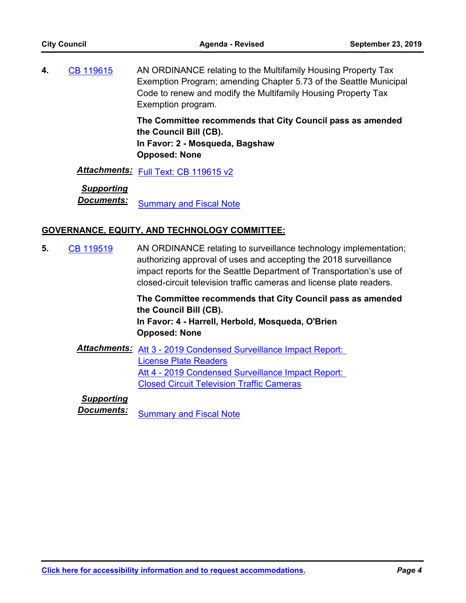AN ORDINANCE relating to the Multifamily Housing Property Tax Exemption Program; amending Chapter 5.73 of the Seattle Municipal Code to renew and modify the Multifamily Housing Property Tax Exemption program. **4.** [CB 119615](http://seattle.legistar.com/gateway.aspx?m=l&id=/matter.aspx?key=8911)

**The Committee recommends that City Council pass as amended the Council Bill (CB). In Favor: 2 - Mosqueda, Bagshaw Opposed: None**

*Attachments:* [Full Text: CB 119615 v2](http://seattle.legistar.com/gateway.aspx?M=F&ID=8b1c1dde-92dc-48c2-a4a4-84b089a7ab91.docx)

### *Supporting*

**Documents:** [Summary and Fiscal Note](http://seattle.legistar.com/gateway.aspx?M=F&ID=ef1d8f95-379b-487e-ab28-20139ecccbe1.docx)

#### **GOVERNANCE, EQUITY, AND TECHNOLOGY COMMITTEE:**

AN ORDINANCE relating to surveillance technology implementation; authorizing approval of uses and accepting the 2018 surveillance impact reports for the Seattle Department of Transportation's use of closed-circuit television traffic cameras and license plate readers. **5.** [CB 119519](http://seattle.legistar.com/gateway.aspx?m=l&id=/matter.aspx?key=8663)

> **The Committee recommends that City Council pass as amended the Council Bill (CB). In Favor: 4 - Harrell, Herbold, Mosqueda, O'Brien Opposed: None**

*Attachments:* [Att 3 - 2019 Condensed Surveillance Impact Report:](http://seattle.legistar.com/gateway.aspx?M=F&ID=ff7dd81e-9022-41d6-89e3-8bfa5b751844.docx)  License Plate Readers Att 4 - 2019 Condensed Surveillance Impact Report: Closed Circuit Television Traffic Cameras

## *Supporting*

**Documents:** [Summary and Fiscal Note](http://seattle.legistar.com/gateway.aspx?M=F&ID=c6c45ca3-8234-4ebb-b474-c5abb1f54298.docx)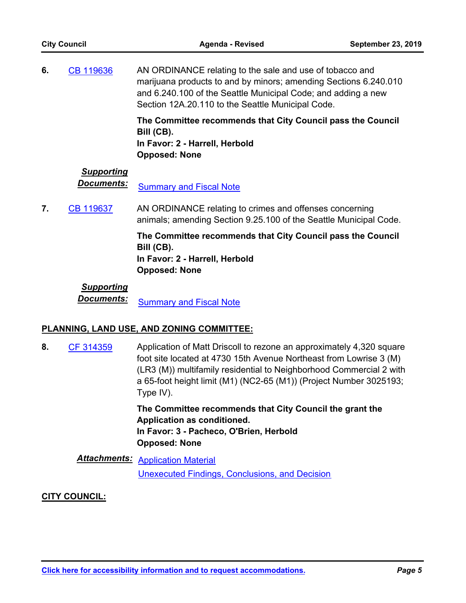| <b>City Council</b> |                                 | <b>Agenda - Revised</b>                                                                                                                                                                                                                            | <b>September 23, 2019</b> |
|---------------------|---------------------------------|----------------------------------------------------------------------------------------------------------------------------------------------------------------------------------------------------------------------------------------------------|---------------------------|
| 6.                  | CB 119636                       | AN ORDINANCE relating to the sale and use of tobacco and<br>marijuana products to and by minors; amending Sections 6.240.010<br>and 6.240.100 of the Seattle Municipal Code; and adding a new<br>Section 12A.20.110 to the Seattle Municipal Code. |                           |
|                     |                                 | The Committee recommends that City Council pass the Council<br>Bill (CB).<br>In Favor: 2 - Harrell, Herbold<br><b>Opposed: None</b>                                                                                                                |                           |
|                     | <b>Supporting</b><br>Documents: | <b>Summary and Fiscal Note</b>                                                                                                                                                                                                                     |                           |
| 7.                  | CB 119637                       | AN ORDINANCE relating to crimes and offenses concerning<br>animals; amending Section 9.25.100 of the Seattle Municipal Code.                                                                                                                       |                           |
|                     |                                 | The Committee recommends that City Council pass the Council<br>Bill (CB).<br>In Favor: 2 - Harrell, Herbold<br><b>Opposed: None</b>                                                                                                                |                           |

## *Supporting* **Documents:** [Summary and Fiscal Note](http://seattle.legistar.com/gateway.aspx?M=F&ID=326d774a-8012-486f-b791-095f33afc87c.docx)

### **PLANNING, LAND USE, AND ZONING COMMITTEE:**

Application of Matt Driscoll to rezone an approximately 4,320 square foot site located at 4730 15th Avenue Northeast from Lowrise 3 (M) (LR3 (M)) multifamily residential to Neighborhood Commercial 2 with a 65-foot height limit (M1) (NC2-65 (M1)) (Project Number 3025193; Type IV). **8.** [CF 314359](http://seattle.legistar.com/gateway.aspx?m=l&id=/matter.aspx?key=4661) **The Committee recommends that City Council the grant the** 

**Application as conditioned. In Favor: 3 - Pacheco, O'Brien, Herbold Opposed: None**

*Attachments:* [Application Material](http://seattle.legistar.com/gateway.aspx?M=F&ID=4b563311-f484-4533-a9db-9ed1c45e56d5.pdf) [Unexecuted Findings, Conclusions, and Decision](http://seattle.legistar.com/gateway.aspx?M=F&ID=d34d1b07-58dc-4f53-b300-169e694d6c3c.docx)

### **CITY COUNCIL:**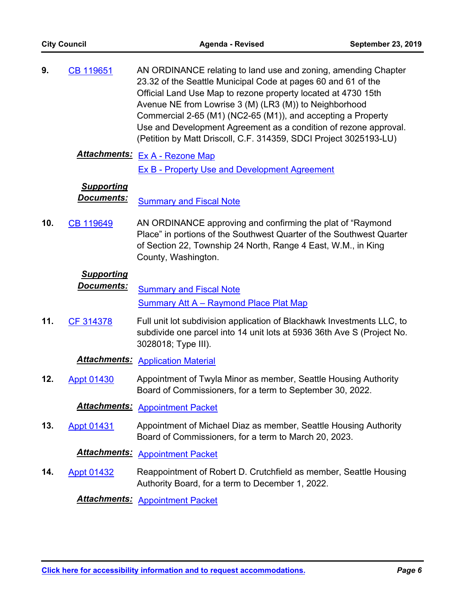| <b>City Council</b> |                                 | Agenda - Revised                                                                                                                                                                                                                                                                                                                                                                                                                                                    | <b>September 23, 2019</b> |
|---------------------|---------------------------------|---------------------------------------------------------------------------------------------------------------------------------------------------------------------------------------------------------------------------------------------------------------------------------------------------------------------------------------------------------------------------------------------------------------------------------------------------------------------|---------------------------|
| 9.                  | CB 119651                       | AN ORDINANCE relating to land use and zoning, amending Chapter<br>23.32 of the Seattle Municipal Code at pages 60 and 61 of the<br>Official Land Use Map to rezone property located at 4730 15th<br>Avenue NE from Lowrise 3 (M) (LR3 (M)) to Neighborhood<br>Commercial 2-65 (M1) (NC2-65 (M1)), and accepting a Property<br>Use and Development Agreement as a condition of rezone approval.<br>(Petition by Matt Driscoll, C.F. 314359, SDCI Project 3025193-LU) |                           |
|                     |                                 | Attachments: Ex A - Rezone Map<br><b>Ex B - Property Use and Development Agreement</b>                                                                                                                                                                                                                                                                                                                                                                              |                           |
|                     | <b>Supporting</b><br>Documents: | <b>Summary and Fiscal Note</b>                                                                                                                                                                                                                                                                                                                                                                                                                                      |                           |
| 10.                 | CB 119649                       | AN ORDINANCE approving and confirming the plat of "Raymond<br>Place" in portions of the Southwest Quarter of the Southwest Quarter<br>of Section 22, Township 24 North, Range 4 East, W.M., in King<br>County, Washington.                                                                                                                                                                                                                                          |                           |
|                     | <b>Supporting</b><br>Documents: | <b>Summary and Fiscal Note</b><br><b>Summary Att A – Raymond Place Plat Map</b>                                                                                                                                                                                                                                                                                                                                                                                     |                           |
| 11.                 | CF 314378                       | Full unit lot subdivision application of Blackhawk Investments LLC, to<br>subdivide one parcel into 14 unit lots at 5936 36th Ave S (Project No.<br>3028018; Type III).                                                                                                                                                                                                                                                                                             |                           |
|                     |                                 | <b>Attachments: Application Material</b>                                                                                                                                                                                                                                                                                                                                                                                                                            |                           |
| 12.                 | <b>Appt 01430</b>               | Appointment of Twyla Minor as member, Seattle Housing Authority<br>Board of Commissioners, for a term to September 30, 2022.                                                                                                                                                                                                                                                                                                                                        |                           |
|                     | <u>Attachments:</u>             | <b>Appointment Packet</b>                                                                                                                                                                                                                                                                                                                                                                                                                                           |                           |
| 13.                 | <b>Appt 01431</b>               | Appointment of Michael Diaz as member, Seattle Housing Authority<br>Board of Commissioners, for a term to March 20, 2023.                                                                                                                                                                                                                                                                                                                                           |                           |
|                     | <b>Attachments:</b>             | <b>Appointment Packet</b>                                                                                                                                                                                                                                                                                                                                                                                                                                           |                           |
| 14.                 | <b>Appt 01432</b>               | Reappointment of Robert D. Crutchfield as member, Seattle Housing<br>Authority Board, for a term to December 1, 2022.                                                                                                                                                                                                                                                                                                                                               |                           |
|                     |                                 | $After the number n_{\text{max}} + 1$                                                                                                                                                                                                                                                                                                                                                                                                                               |                           |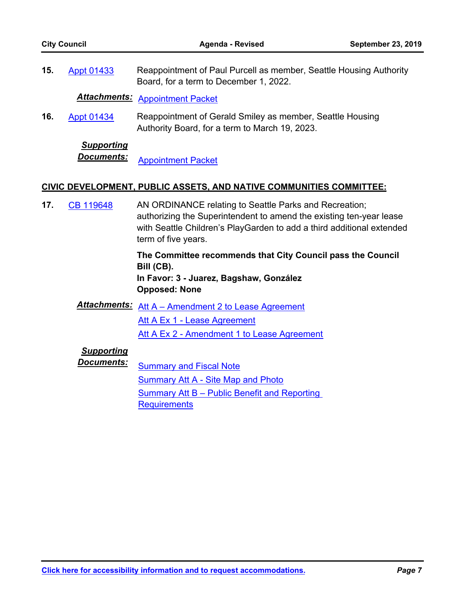| <b>City Council</b> |                                 | Agenda - Revised                                                                                                                                                                                                              | <b>September 23, 2019</b> |
|---------------------|---------------------------------|-------------------------------------------------------------------------------------------------------------------------------------------------------------------------------------------------------------------------------|---------------------------|
| 15.                 | <b>Appt 01433</b>               | Reappointment of Paul Purcell as member, Seattle Housing Authority<br>Board, for a term to December 1, 2022.                                                                                                                  |                           |
|                     | <u> Attachments:</u>            | <b>Appointment Packet</b>                                                                                                                                                                                                     |                           |
| 16.                 | <b>Appt 01434</b>               | Reappointment of Gerald Smiley as member, Seattle Housing<br>Authority Board, for a term to March 19, 2023.                                                                                                                   |                           |
|                     | <b>Supporting</b><br>Documents: | <b>Appointment Packet</b>                                                                                                                                                                                                     |                           |
|                     |                                 | CIVIC DEVELOPMENT, PUBLIC ASSETS, AND NATIVE COMMUNITIES COMMITTEE:                                                                                                                                                           |                           |
| 17.                 | CB 119648                       | AN ORDINANCE relating to Seattle Parks and Recreation;<br>authorizing the Superintendent to amend the existing ten-year lease<br>with Seattle Children's PlayGarden to add a third additional extended<br>term of five years. |                           |
|                     |                                 | The Committee recommends that City Council pass the Council<br>Bill (CB).<br>In Favor: 3 - Juarez, Bagshaw, González<br><b>Opposed: None</b>                                                                                  |                           |
|                     | <u> Attachments:</u>            | Att A – Amendment 2 to Lease Agreement                                                                                                                                                                                        |                           |
|                     |                                 | Att A Ex 1 - Lease Agreement                                                                                                                                                                                                  |                           |
|                     |                                 | Att A Ex 2 - Amendment 1 to Lease Agreement                                                                                                                                                                                   |                           |
|                     | <b>Supporting</b><br>Documents: | <b>Summary and Fiscal Note</b><br><b>Summary Att A - Site Map and Photo</b><br><b>Summary Att B - Public Benefit and Reporting</b><br><b>Requirements</b>                                                                     |                           |
|                     |                                 |                                                                                                                                                                                                                               |                           |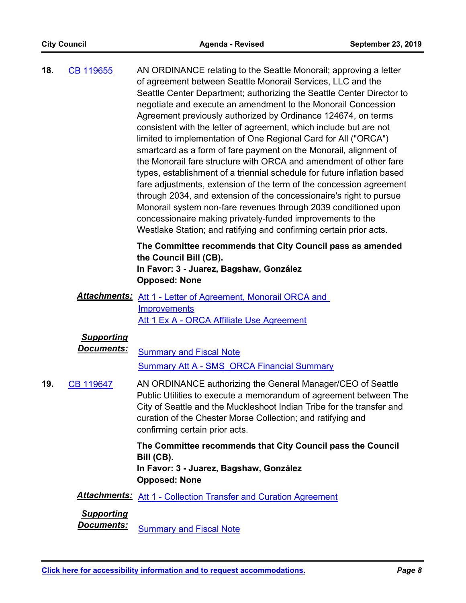| 18. | CB 119655                              | AN ORDINANCE relating to the Seattle Monorail; approving a letter<br>of agreement between Seattle Monorail Services, LLC and the<br>Seattle Center Department; authorizing the Seattle Center Director to<br>negotiate and execute an amendment to the Monorail Concession<br>Agreement previously authorized by Ordinance 124674, on terms<br>consistent with the letter of agreement, which include but are not<br>limited to implementation of One Regional Card for All ("ORCA")<br>smartcard as a form of fare payment on the Monorail, alignment of<br>the Monorail fare structure with ORCA and amendment of other fare<br>types, establishment of a triennial schedule for future inflation based<br>fare adjustments, extension of the term of the concession agreement<br>through 2034, and extension of the concessionaire's right to pursue<br>Monorail system non-fare revenues through 2039 conditioned upon<br>concessionaire making privately-funded improvements to the<br>Westlake Station; and ratifying and confirming certain prior acts. |
|-----|----------------------------------------|----------------------------------------------------------------------------------------------------------------------------------------------------------------------------------------------------------------------------------------------------------------------------------------------------------------------------------------------------------------------------------------------------------------------------------------------------------------------------------------------------------------------------------------------------------------------------------------------------------------------------------------------------------------------------------------------------------------------------------------------------------------------------------------------------------------------------------------------------------------------------------------------------------------------------------------------------------------------------------------------------------------------------------------------------------------|
|     |                                        | The Committee recommends that City Council pass as amended<br>the Council Bill (CB).<br>In Favor: 3 - Juarez, Bagshaw, González<br><b>Opposed: None</b>                                                                                                                                                                                                                                                                                                                                                                                                                                                                                                                                                                                                                                                                                                                                                                                                                                                                                                        |
|     |                                        | <b>Attachments:</b> Att 1 - Letter of Agreement, Monorail ORCA and<br>Improvements<br>Att 1 Ex A - ORCA Affiliate Use Agreement                                                                                                                                                                                                                                                                                                                                                                                                                                                                                                                                                                                                                                                                                                                                                                                                                                                                                                                                |
|     | <b>Supporting</b><br><u>Documents:</u> | <b>Summary and Fiscal Note</b><br><b>Summary Att A - SMS ORCA Financial Summary</b>                                                                                                                                                                                                                                                                                                                                                                                                                                                                                                                                                                                                                                                                                                                                                                                                                                                                                                                                                                            |
| 19. | CB 119647                              | AN ORDINANCE authorizing the General Manager/CEO of Seattle<br>Public Utilities to execute a memorandum of agreement between The<br>City of Seattle and the Muckleshoot Indian Tribe for the transfer and<br>curation of the Chester Morse Collection; and ratifying and<br>confirming certain prior acts.                                                                                                                                                                                                                                                                                                                                                                                                                                                                                                                                                                                                                                                                                                                                                     |
|     |                                        | The Committee recommends that City Council pass the Council<br>Bill (CB).<br>In Favor: 3 - Juarez, Bagshaw, González<br><b>Opposed: None</b>                                                                                                                                                                                                                                                                                                                                                                                                                                                                                                                                                                                                                                                                                                                                                                                                                                                                                                                   |
|     |                                        | <b>Attachments:</b> Att 1 - Collection Transfer and Curation Agreement                                                                                                                                                                                                                                                                                                                                                                                                                                                                                                                                                                                                                                                                                                                                                                                                                                                                                                                                                                                         |
|     | <b>Supporting</b><br>Documents:        | <b>Summary and Fiscal Note</b>                                                                                                                                                                                                                                                                                                                                                                                                                                                                                                                                                                                                                                                                                                                                                                                                                                                                                                                                                                                                                                 |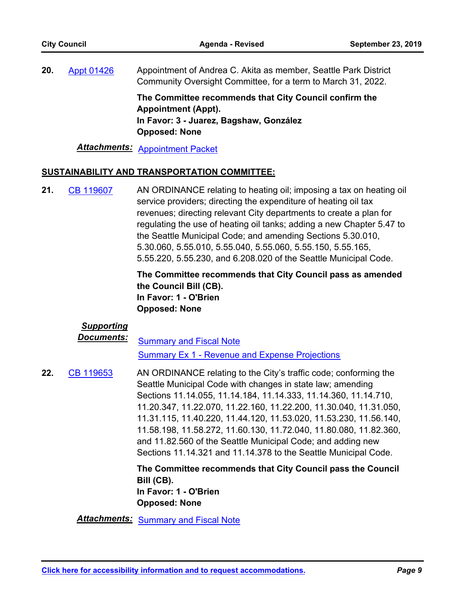Appointment of Andrea C. Akita as member, Seattle Park District Community Oversight Committee, for a term to March 31, 2022. **20.** [Appt 01426](http://seattle.legistar.com/gateway.aspx?m=l&id=/matter.aspx?key=9079)

> **The Committee recommends that City Council confirm the Appointment (Appt). In Favor: 3 - Juarez, Bagshaw, González Opposed: None**

*Attachments:* [Appointment Packet](http://seattle.legistar.com/gateway.aspx?M=F&ID=c10b73f3-974f-4d23-b321-e9bfca93e256.pdf)

#### **SUSTAINABILITY AND TRANSPORTATION COMMITTEE:**

AN ORDINANCE relating to heating oil; imposing a tax on heating oil service providers; directing the expenditure of heating oil tax revenues; directing relevant City departments to create a plan for regulating the use of heating oil tanks; adding a new Chapter 5.47 to the Seattle Municipal Code; and amending Sections 5.30.010, 5.30.060, 5.55.010, 5.55.040, 5.55.060, 5.55.150, 5.55.165, 5.55.220, 5.55.230, and 6.208.020 of the Seattle Municipal Code. **21.** [CB 119607](http://seattle.legistar.com/gateway.aspx?m=l&id=/matter.aspx?key=8863)

> **The Committee recommends that City Council pass as amended the Council Bill (CB). In Favor: 1 - O'Brien Opposed: None**

### *Supporting*

**Documents:** [Summary and Fiscal Note](http://seattle.legistar.com/gateway.aspx?M=F&ID=f0b4393d-017e-4763-ab37-bfb042c5c52f.docx)

[Summary Ex 1 - Revenue and Expense Projections](http://seattle.legistar.com/gateway.aspx?M=F&ID=79f84738-028c-4dfe-bc8a-d3d1ce6af739.docx)

AN ORDINANCE relating to the City's traffic code; conforming the Seattle Municipal Code with changes in state law; amending Sections 11.14.055, 11.14.184, 11.14.333, 11.14.360, 11.14.710, 11.20.347, 11.22.070, 11.22.160, 11.22.200, 11.30.040, 11.31.050, 11.31.115, 11.40.220, 11.44.120, 11.53.020, 11.53.230, 11.56.140, 11.58.198, 11.58.272, 11.60.130, 11.72.040, 11.80.080, 11.82.360, and 11.82.560 of the Seattle Municipal Code; and adding new Sections 11.14.321 and 11.14.378 to the Seattle Municipal Code. **22.** [CB 119653](http://seattle.legistar.com/gateway.aspx?m=l&id=/matter.aspx?key=9138)

> **The Committee recommends that City Council pass the Council Bill (CB). In Favor: 1 - O'Brien Opposed: None**

*Attachments:* [Summary and Fiscal Note](http://seattle.legistar.com/gateway.aspx?M=F&ID=b8bb67d3-f870-439b-8df7-3b5f817f66b1.docx)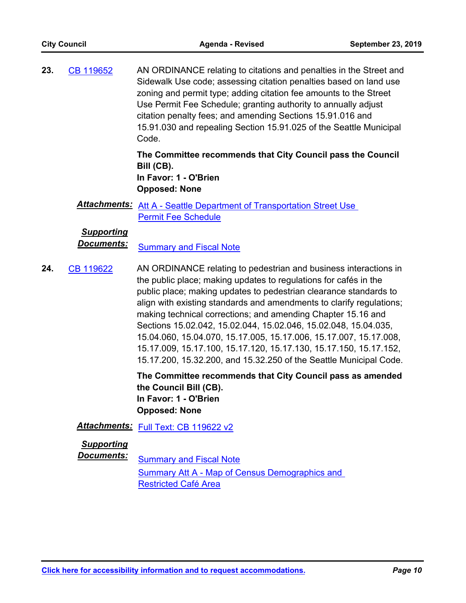AN ORDINANCE relating to citations and penalties in the Street and Sidewalk Use code; assessing citation penalties based on land use zoning and permit type; adding citation fee amounts to the Street Use Permit Fee Schedule; granting authority to annually adjust citation penalty fees; and amending Sections 15.91.016 and 15.91.030 and repealing Section 15.91.025 of the Seattle Municipal Code. **23.** [CB 119652](http://seattle.legistar.com/gateway.aspx?m=l&id=/matter.aspx?key=9055)

> **The Committee recommends that City Council pass the Council Bill (CB). In Favor: 1 - O'Brien Opposed: None**

*Attachments:* [Att A - Seattle Department of Transportation Street Use](http://seattle.legistar.com/gateway.aspx?M=F&ID=1f3cfbbb-1088-4d57-83b6-dce998478408.docx)  **Permit Fee Schedule** 

## *Supporting*

**Documents:** [Summary and Fiscal Note](http://seattle.legistar.com/gateway.aspx?M=F&ID=4e6c1e25-60f4-4e8b-a4aa-f1ef99622340.docx)

AN ORDINANCE relating to pedestrian and business interactions in the public place; making updates to regulations for cafés in the public place; making updates to pedestrian clearance standards to align with existing standards and amendments to clarify regulations; making technical corrections; and amending Chapter 15.16 and Sections 15.02.042, 15.02.044, 15.02.046, 15.02.048, 15.04.035, 15.04.060, 15.04.070, 15.17.005, 15.17.006, 15.17.007, 15.17.008, 15.17.009, 15.17.100, 15.17.120, 15.17.130, 15.17.150, 15.17.152, 15.17.200, 15.32.200, and 15.32.250 of the Seattle Municipal Code. **24.** [CB 119622](http://seattle.legistar.com/gateway.aspx?m=l&id=/matter.aspx?key=9037)

> **The Committee recommends that City Council pass as amended the Council Bill (CB). In Favor: 1 - O'Brien Opposed: None**

## Attachments: [Full Text: CB 119622 v2](http://seattle.legistar.com/gateway.aspx?M=F&ID=8567642f-a5da-47bf-aafe-100936be17a3.docx)

#### *Supporting*

**Documents:** [Summary and Fiscal Note](http://seattle.legistar.com/gateway.aspx?M=F&ID=7ab1e891-be7f-48a2-89ca-650db7efcf5b.docx) Summary Att A - Map of Census Demographics and Restricted Café Area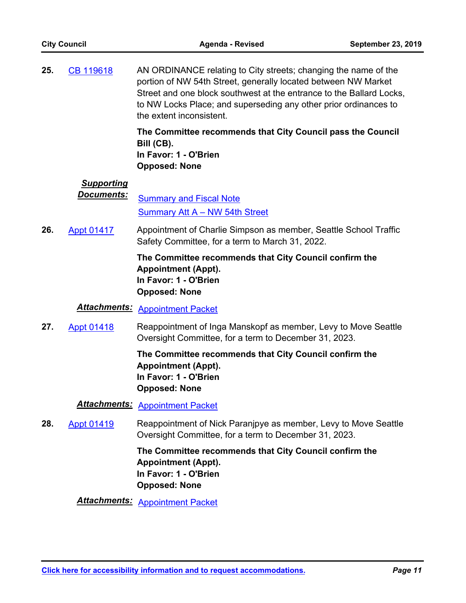AN ORDINANCE relating to City streets; changing the name of the portion of NW 54th Street, generally located between NW Market Street and one block southwest at the entrance to the Ballard Locks, to NW Locks Place; and superseding any other prior ordinances to the extent inconsistent. **25.** [CB 119618](http://seattle.legistar.com/gateway.aspx?m=l&id=/matter.aspx?key=8461)

> **The Committee recommends that City Council pass the Council Bill (CB). In Favor: 1 - O'Brien Opposed: None**

## *Supporting*

**Documents:** [Summary and Fiscal Note](http://seattle.legistar.com/gateway.aspx?M=F&ID=ff4d4eb3-ab78-4ea6-b2b1-5eca79eea877.docx) [Summary Att A – NW 54th Street](http://seattle.legistar.com/gateway.aspx?M=F&ID=b8e056ce-a210-4527-9d0b-9fd36262bb35.docx)

Appointment of Charlie Simpson as member, Seattle School Traffic Safety Committee, for a term to March 31, 2022. **26.** [Appt 01417](http://seattle.legistar.com/gateway.aspx?m=l&id=/matter.aspx?key=9033)

### **The Committee recommends that City Council confirm the Appointment (Appt). In Favor: 1 - O'Brien Opposed: None**

## *Attachments:* [Appointment Packet](http://seattle.legistar.com/gateway.aspx?M=F&ID=2acb5e89-68a9-49ac-86b3-ab6dadf0b845.pdf)

Reappointment of Inga Manskopf as member, Levy to Move Seattle Oversight Committee, for a term to December 31, 2023. **27.** [Appt 01418](http://seattle.legistar.com/gateway.aspx?m=l&id=/matter.aspx?key=9136)

> **The Committee recommends that City Council confirm the Appointment (Appt). In Favor: 1 - O'Brien Opposed: None**

## *Attachments:* [Appointment Packet](http://seattle.legistar.com/gateway.aspx?M=F&ID=7c82849c-1e0b-4d46-af0b-c00cf2bf1896.pdf)

Reappointment of Nick Paranjpye as member, Levy to Move Seattle Oversight Committee, for a term to December 31, 2023. **28.** [Appt 01419](http://seattle.legistar.com/gateway.aspx?m=l&id=/matter.aspx?key=9137)

### **The Committee recommends that City Council confirm the Appointment (Appt). In Favor: 1 - O'Brien Opposed: None**

*Attachments:* [Appointment Packet](http://seattle.legistar.com/gateway.aspx?M=F&ID=220325fb-58f3-4bb9-9319-bd42558b69e0.pdf)